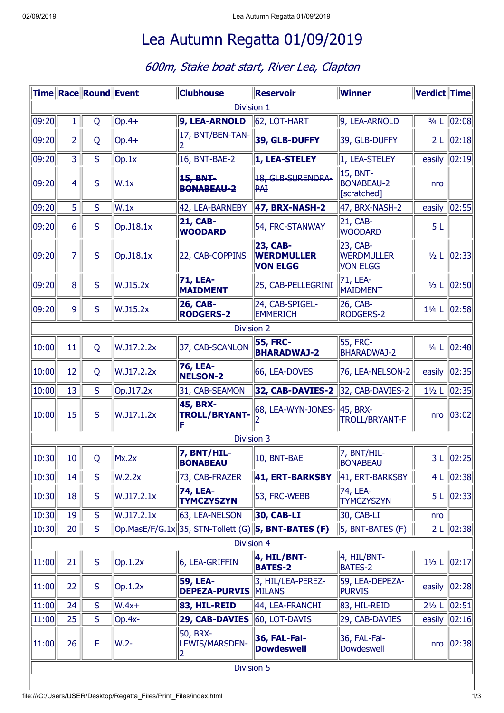## Lea Autumn Regatta 01/09/2019

## 600m, Stake boat start, River Lea, Clapton

|                   |                | Time Race Round Event |            | <b>Clubhouse</b>                               | <b>Reservoir</b>                                        | Winner                                           | <b>Verdict Time</b> |                     |  |
|-------------------|----------------|-----------------------|------------|------------------------------------------------|---------------------------------------------------------|--------------------------------------------------|---------------------|---------------------|--|
| Division 1        |                |                       |            |                                                |                                                         |                                                  |                     |                     |  |
| 09:20             | $\mathbf{1}$   | Q                     | $ Op.4+$   | 9, LEA-ARNOLD                                  | 62, LOT-HART                                            | 9, LEA-ARNOLD                                    | $3/4$ L             | 02:08               |  |
| 09:20             | $\overline{2}$ | Q                     | $ Op.4+$   | 17, BNT/BEN-TAN-<br>12                         | 39, GLB-DUFFY                                           | 39, GLB-DUFFY                                    |                     | 2 L 02:18           |  |
| 09:20             | $\overline{3}$ | S                     | Op.1x      | 16, BNT-BAE-2                                  | 1, LEA-STELEY                                           | 1, LEA-STELEY                                    | easily $\ 02:19\ $  |                     |  |
| 09:20             | 4              | S                     | W.1x       | 15, BNT-<br><b>BONABEAU-2</b>                  | 18, GLB-SURENDRA-<br><b>PAI</b>                         | 15, BNT-<br><b>BONABEAU-2</b><br>[Scratched]     | nro                 |                     |  |
| 09:20             | 5              | S                     | W.1x       | 42, LEA-BARNEBY                                | 47, BRX-NASH-2                                          | 47, BRX-NASH-2                                   | easily              | 02:55               |  |
| 09:20             | 6              | S                     | Op.J18.1x  | <b>21, CAB-</b><br><b>WOODARD</b>              | 54, FRC-STANWAY                                         | 21, CAB-<br><b>WOODARD</b>                       | 5L                  |                     |  |
| 09:20             | $\overline{7}$ | S                     | Op.J18.1x  | 22, CAB-COPPINS                                | <b>23, CAB-</b><br><b>WERDMULLER</b><br><b>VON ELGG</b> | 23, CAB-<br><b>WERDMULLER</b><br><b>VON ELGG</b> | $1/2$ L             | 02:33               |  |
| 09:20             | 8              | S                     | W.J15.2x   | <b>71, LEA-</b><br><b>MAIDMENT</b>             | 25, CAB-PELLEGRINI                                      | 71, LEA-<br>MAIDMENT                             | $\frac{1}{2}$ L     | 02:50               |  |
| 09:20             | 9              | S                     | W.J15.2x   | <b>26, CAB-</b><br><b>RODGERS-2</b>            | 24, CAB-SPIGEL-<br><b>EMMERICH</b>                      | 26, CAB-<br>RODGERS-2                            | $1\frac{1}{4}$ L    | 02:58               |  |
| <b>Division 2</b> |                |                       |            |                                                |                                                         |                                                  |                     |                     |  |
| 10:00             | 11             | Q                     | W.J17.2.2x | 37, CAB-SCANLON                                | <b>55, FRC-</b><br><b>BHARADWAJ-2</b>                   | 55, FRC-<br><b>BHARADWAJ-2</b>                   | $\frac{1}{4}$ L     | 02:48               |  |
| 10:00             | 12             | Q                     | W.J17.2.2x | 76, LEA-<br><b>NELSON-2</b>                    | 66, LEA-DOVES                                           | 76, LEA-NELSON-2                                 | easily              | 02:35               |  |
| 10:00             | 13             | S                     | Op.J17.2x  | 31, CAB-SEAMON                                 | 32, CAB-DAVIES-2                                        | 32, CAB-DAVIES-2                                 | $1\frac{1}{2}$ L    | 02:35               |  |
| 10:00             | 15             | S                     | W.J17.1.2x | 45, BRX-<br><b>TROLL/BRYANT-</b><br>IF         | 68, LEA-WYN-JONES- 45, BRX-                             | <b>TROLL/BRYANT-F</b>                            |                     | nro   03:02         |  |
|                   |                |                       |            | Division 3                                     |                                                         |                                                  |                     |                     |  |
| $\ 10:30\ $       | 10             | Q                     | Mx.2x      | 7, BNT/HIL-<br><b>BONABEAU</b>                 | 10, BNT-BAE                                             | 7, BNT/HIL-<br><b>BONABEAU</b>                   |                     | 3 L 02:25           |  |
| 10:30             | 14             | S.                    | W.2.2x     | 73, CAB-FRAZER                                 | 41, ERT-BARKSBY                                         | 41, ERT-BARKSBY                                  |                     | 4 L 02:38           |  |
| 10:30             | 18             | S                     | W.J17.2.1x | 74, LEA-<br><b>TYMCZYSZYN</b>                  | 53, FRC-WEBB                                            | 74, LEA-<br><b>TYMCZYSZYN</b>                    |                     | 5 L   02:33         |  |
| 10:30             | 19             | S                     | W.J17.2.1x | 63, LEA-NELSON                                 | <b>30, CAB-LI</b>                                       | 30, CAB-LI                                       | nro                 |                     |  |
| 10:30             | 20             | S                     |            | Op.MasE/F/G.1x 35, STN-Tollett (G)             | $\left 5, BNT-BATES (F)\right $                         | 5, BNT-BATES (F)                                 |                     | 2 L $\ 02:38\ $     |  |
| Division 4        |                |                       |            |                                                |                                                         |                                                  |                     |                     |  |
| 11:00             | 21             | S                     | Op.1.2x    | 6, LEA-GRIFFIN                                 | 4, HIL/BNT-<br><b>BATES-2</b>                           | 4, HIL/BNT-<br><b>BATES-2</b>                    | $1\frac{1}{2}$ L    | 02:17               |  |
| 11:00             | 22             | S                     | Op.1.2x    | <b>59, LEA-</b><br><b>DEPEZA-PURVIS MILANS</b> | 3, HIL/LEA-PEREZ-                                       | 59, LEA-DEPEZA-<br><b>PURVIS</b>                 | easily              | 02:28               |  |
| 11:00             | 24             | S                     | $W.4x+$    | 83, HIL-REID                                   | 44, LEA-FRANCHI                                         | 83, HIL-REID                                     | $2\frac{1}{2}$ L    | 02:51               |  |
| 11:00             | 25             | S                     | $ Op.4x-$  | 29, CAB-DAVIES                                 | 60, LOT-DAVIS                                           | 29, CAB-DAVIES                                   | easily              | $\vert 02:16 \vert$ |  |
| 11:00             | 26             | $\mathsf F$           | W.2-       | 50, BRX-<br>LEWIS/MARSDEN-<br>2                | 36, FAL-Fal-<br><b>Dowdeswell</b>                       | 36, FAL-Fal-<br>Dowdeswell                       |                     | nro   02:38         |  |
| Division 5        |                |                       |            |                                                |                                                         |                                                  |                     |                     |  |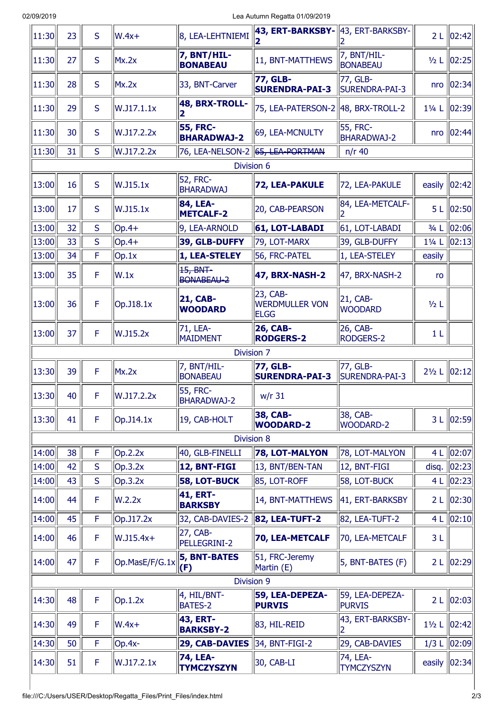| 11:30 | 23 | S  | $W.4x+$         | 8, LEA-LEHTNIEMI                      | 43, ERT-BARKSBY-                                 | 43, ERT-BARKSBY-                      | 2L               | 02:42                  |
|-------|----|----|-----------------|---------------------------------------|--------------------------------------------------|---------------------------------------|------------------|------------------------|
| 11:30 | 27 | S  | Mx.2x           | 7, BNT/HIL-<br><b>BONABEAU</b>        | 11, BNT-MATTHEWS                                 | 7, BNT/HIL-<br><b>BONABEAU</b>        | $1/2$ L          | 02:25                  |
| 11:30 | 28 | S  | Mx.2x           | 33, BNT-Carver                        | <b>77, GLB-</b><br><b>SURENDRA-PAI-3</b>         | 77, GLB-<br>SURENDRA-PAI-3            | nro              | 02:34                  |
| 11:30 | 29 | S  | W.J17.1.1x      | 48, BRX-TROLL-<br>2                   | 75, LEA-PATERSON-2                               | 48, BRX-TROLL-2                       | $1\frac{1}{4}$ L | 02:39                  |
| 11:30 | 30 | S  | W.J17.2.2x      | <b>55, FRC-</b><br><b>BHARADWAJ-2</b> | 69, LEA-MCNULTY                                  | <b>55, FRC-</b><br><b>BHARADWAJ-2</b> | nro              | 02:44                  |
| 11:30 | 31 | S. | W.J17.2.2x      | 76, LEA-NELSON-2 65, LEA-PORTMAN      |                                                  | $n/r$ 40                              |                  |                        |
|       |    |    |                 | Division 6                            |                                                  |                                       |                  |                        |
| 13:00 | 16 | S  | W.J15.1x        | 52, FRC-<br><b>BHARADWAJ</b>          | <b>72, LEA-PAKULE</b>                            | 72, LEA-PAKULE                        | easily           | 02:42                  |
| 13:00 | 17 | S  | W.J15.1x        | 84, LEA-<br><b>METCALF-2</b>          | 20, CAB-PEARSON                                  | 84, LEA-METCALF-<br>2                 | 5L               | 02:50                  |
| 13:00 | 32 | S  | $Op.4+$         | 9, LEA-ARNOLD                         | 61, LOT-LABADI                                   | 61, LOT-LABADI                        | $3/4$ L          | $\vert$ 02:06 $\vert$  |
| 13:00 | 33 | S  | $ Op.4+$        | 39, GLB-DUFFY                         | 79, LOT-MARX                                     | 39, GLB-DUFFY                         | 11/4 L           | 02:13                  |
| 13:00 | 34 | F  | Op.1x           | 1, LEA-STELEY                         | 56, FRC-PATEL                                    | 1, LEA-STELEY                         | easily           |                        |
| 13:00 | 35 | F  | W.1x            | 15, BNT-<br>BONABEAU-2                | 47, BRX-NASH-2                                   | 47, BRX-NASH-2                        | ro               |                        |
| 13:00 | 36 | F  | Op.J18.1x       | <b>21, CAB-</b><br><b>WOODARD</b>     | 23, CAB-<br><b>WERDMULLER VON</b><br><b>ELGG</b> | 21, CAB-<br><b>WOODARD</b>            | $1/2$ L          |                        |
| 13:00 | 37 | F  | W.J15.2x        | 71, LEA-<br><b>MAIDMENT</b>           | <b>26, CAB-</b><br><b>RODGERS-2</b>              | 26, CAB-<br><b>RODGERS-2</b>          | 1 <sub>L</sub>   |                        |
|       |    |    |                 | Division 7                            |                                                  |                                       |                  |                        |
| 13:30 | 39 | F  | Mx.2x           | 7, BNT/HIL-<br><b>BONABEAU</b>        | <b>77, GLB-</b><br><b>SURENDRA-PAI-3</b>         | 77, GLB-<br><b>SURENDRA-PAI-3</b>     |                  | 21/2 L 02:12           |
| 13:30 | 40 | F  | W.J17.2.2x      | 55, FRC-<br><b>BHARADWAJ-2</b>        | $w/r$ 31                                         |                                       |                  |                        |
| 13:30 | 41 | F  | $Op.$ J14.1 $x$ | 19, CAB-HOLT                          | <b>38, CAB-</b><br><b>WOODARD-2</b>              | 38, CAB-<br><b>WOODARD-2</b>          |                  | 3 L 02:59              |
|       |    |    |                 | Division 8                            |                                                  |                                       |                  |                        |
| 14:00 | 38 | F  | Op.2.2x         | 40, GLB-FINELLI                       | 78, LOT-MALYON                                   | 78, LOT-MALYON                        |                  | 4 L 02:07              |
| 14:00 | 42 | S  | Op.3.2x         | 12, BNT-FIGI                          | 13, BNT/BEN-TAN                                  | 12, BNT-FIGI                          | disq.            | 02:23                  |
| 14:00 | 43 | S  | Op.3.2x         | <b>58, LOT-BUCK</b>                   | 85, LOT-ROFF                                     | 58, LOT-BUCK                          | 4L               | 02:23                  |
| 14:00 | 44 | F  | W.2.2x          | 41, ERT-<br><b>BARKSBY</b>            | 14, BNT-MATTHEWS                                 | 41, ERT-BARKSBY                       | 2L               | $\vert$ 02:30 $\vert$  |
| 14:00 | 45 | F  | Op.J17.2x       | 32, CAB-DAVIES-2                      | <b>82, LEA-TUFT-2</b>                            | 82, LEA-TUFT-2                        | 4 L              | $\ 02:10\ $            |
| 14:00 | 46 | F  | $W.J15.4x+$     | 27, CAB-<br>PELLEGRINI-2              | 70, LEA-METCALF                                  | 70, LEA-METCALF                       | 3L               |                        |
| 14:00 | 47 | F  | Op.MasE/F/G.1x  | <b>5, BNT-BATES</b><br>(F)            | 51, FRC-Jeremy<br>Martin (E)                     | 5, BNT-BATES (F)                      |                  | 2 L 02:29              |
|       |    |    |                 | Division 9                            |                                                  |                                       |                  |                        |
| 14:30 | 48 | F  | Op.1.2x         | 4, HIL/BNT-<br><b>BATES-2</b>         | 59, LEA-DEPEZA-<br><b>PURVIS</b>                 | 59, LEA-DEPEZA-<br><b>PURVIS</b>      | 2L               | 02:03                  |
| 14:30 | 49 | F  | $W.4x+$         | <b>43, ERT-</b><br><b>BARKSBY-2</b>   | 83, HIL-REID                                     | 43, ERT-BARKSBY-                      | $1\frac{1}{2}$ L | 02:42                  |
|       |    | F  | Op.4x-          | 29, CAB-DAVIES                        | 34, BNT-FIGI-2                                   | 29, CAB-DAVIES                        | $1/3$ L          | $\vert$  02:09 $\vert$ |
| 14:30 | 50 |    |                 |                                       |                                                  |                                       |                  |                        |